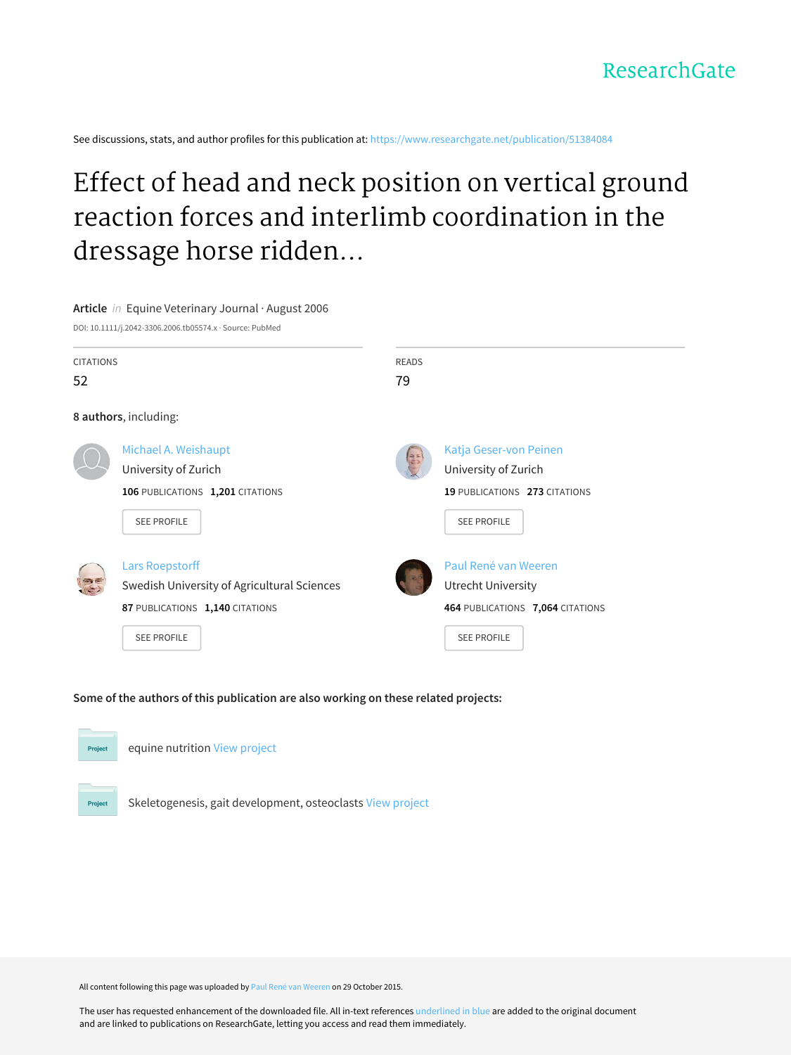See discussions, stats, and author profiles for this publication at: [https://www.researchgate.net/publication/51384084](https://www.researchgate.net/publication/51384084_Effect_of_head_and_neck_position_on_vertical_ground_reaction_forces_and_interlimb_coordination_in_the_dressage_horse_ridden_at_walk_and_trot?enrichId=rgreq-a7a9734b273f111a5c914df3e36c7e97-XXX&enrichSource=Y292ZXJQYWdlOzUxMzg0MDg0O0FTOjI4OTgwODg3MTExNjgwMEAxNDQ2MTA3MjI3MTM5&el=1_x_2&_esc=publicationCoverPdf)

# Effect of head and neck position on vertical ground reaction forces and interlimb coordination in the dressage horse ridden...

**Article** in Equine Veterinary Journal · August 2006 DOI: 10.1111/j.2042-3306.2006.tb05574.x · Source: PubMed CITATIONS 52 READS 79 **8 authors**, including: Michael A. [Weishaupt](https://www.researchgate.net/profile/Michael_Weishaupt?enrichId=rgreq-a7a9734b273f111a5c914df3e36c7e97-XXX&enrichSource=Y292ZXJQYWdlOzUxMzg0MDg0O0FTOjI4OTgwODg3MTExNjgwMEAxNDQ2MTA3MjI3MTM5&el=1_x_5&_esc=publicationCoverPdf) [University](https://www.researchgate.net/institution/University_of_Zurich?enrichId=rgreq-a7a9734b273f111a5c914df3e36c7e97-XXX&enrichSource=Y292ZXJQYWdlOzUxMzg0MDg0O0FTOjI4OTgwODg3MTExNjgwMEAxNDQ2MTA3MjI3MTM5&el=1_x_6&_esc=publicationCoverPdf) of Zurich **106** PUBLICATIONS **1,201** CITATIONS SEE [PROFILE](https://www.researchgate.net/profile/Michael_Weishaupt?enrichId=rgreq-a7a9734b273f111a5c914df3e36c7e97-XXX&enrichSource=Y292ZXJQYWdlOzUxMzg0MDg0O0FTOjI4OTgwODg3MTExNjgwMEAxNDQ2MTA3MjI3MTM5&el=1_x_7&_esc=publicationCoverPdf) Katja [Geser-von](https://www.researchgate.net/profile/Katja_Geser-von_Peinen?enrichId=rgreq-a7a9734b273f111a5c914df3e36c7e97-XXX&enrichSource=Y292ZXJQYWdlOzUxMzg0MDg0O0FTOjI4OTgwODg3MTExNjgwMEAxNDQ2MTA3MjI3MTM5&el=1_x_5&_esc=publicationCoverPdf) Peinen [University](https://www.researchgate.net/institution/University_of_Zurich?enrichId=rgreq-a7a9734b273f111a5c914df3e36c7e97-XXX&enrichSource=Y292ZXJQYWdlOzUxMzg0MDg0O0FTOjI4OTgwODg3MTExNjgwMEAxNDQ2MTA3MjI3MTM5&el=1_x_6&_esc=publicationCoverPdf) of Zurich **19** PUBLICATIONS **273** CITATIONS SEE [PROFILE](https://www.researchgate.net/profile/Katja_Geser-von_Peinen?enrichId=rgreq-a7a9734b273f111a5c914df3e36c7e97-XXX&enrichSource=Y292ZXJQYWdlOzUxMzg0MDg0O0FTOjI4OTgwODg3MTExNjgwMEAxNDQ2MTA3MjI3MTM5&el=1_x_7&_esc=publicationCoverPdf) Lars [Roepstorff](https://www.researchgate.net/profile/Lars_Roepstorff?enrichId=rgreq-a7a9734b273f111a5c914df3e36c7e97-XXX&enrichSource=Y292ZXJQYWdlOzUxMzg0MDg0O0FTOjI4OTgwODg3MTExNjgwMEAxNDQ2MTA3MjI3MTM5&el=1_x_5&_esc=publicationCoverPdf) Swedish University of [Agricultural](https://www.researchgate.net/institution/Swedish_University_of_Agricultural_Sciences?enrichId=rgreq-a7a9734b273f111a5c914df3e36c7e97-XXX&enrichSource=Y292ZXJQYWdlOzUxMzg0MDg0O0FTOjI4OTgwODg3MTExNjgwMEAxNDQ2MTA3MjI3MTM5&el=1_x_6&_esc=publicationCoverPdf) Sciences **87** PUBLICATIONS **1,140** CITATIONS SEE [PROFILE](https://www.researchgate.net/profile/Lars_Roepstorff?enrichId=rgreq-a7a9734b273f111a5c914df3e36c7e97-XXX&enrichSource=Y292ZXJQYWdlOzUxMzg0MDg0O0FTOjI4OTgwODg3MTExNjgwMEAxNDQ2MTA3MjI3MTM5&el=1_x_7&_esc=publicationCoverPdf) Paul René van [Weeren](https://www.researchgate.net/profile/Paul_Van_Weeren?enrichId=rgreq-a7a9734b273f111a5c914df3e36c7e97-XXX&enrichSource=Y292ZXJQYWdlOzUxMzg0MDg0O0FTOjI4OTgwODg3MTExNjgwMEAxNDQ2MTA3MjI3MTM5&el=1_x_5&_esc=publicationCoverPdf) Utrecht [University](https://www.researchgate.net/institution/Utrecht_University?enrichId=rgreq-a7a9734b273f111a5c914df3e36c7e97-XXX&enrichSource=Y292ZXJQYWdlOzUxMzg0MDg0O0FTOjI4OTgwODg3MTExNjgwMEAxNDQ2MTA3MjI3MTM5&el=1_x_6&_esc=publicationCoverPdf) **464** PUBLICATIONS **7,064** CITATIONS SEE [PROFILE](https://www.researchgate.net/profile/Paul_Van_Weeren?enrichId=rgreq-a7a9734b273f111a5c914df3e36c7e97-XXX&enrichSource=Y292ZXJQYWdlOzUxMzg0MDg0O0FTOjI4OTgwODg3MTExNjgwMEAxNDQ2MTA3MjI3MTM5&el=1_x_7&_esc=publicationCoverPdf)

### **Some of the authors of this publication are also working on these related projects:**



Skeletogenesis, gait development, osteoclasts View [project](https://www.researchgate.net/project/Skeletogenesis-gait-development-osteoclasts?enrichId=rgreq-a7a9734b273f111a5c914df3e36c7e97-XXX&enrichSource=Y292ZXJQYWdlOzUxMzg0MDg0O0FTOjI4OTgwODg3MTExNjgwMEAxNDQ2MTA3MjI3MTM5&el=1_x_9&_esc=publicationCoverPdf)

Project

All content following this page was uploaded by Paul René van [Weeren](https://www.researchgate.net/profile/Paul_Van_Weeren?enrichId=rgreq-a7a9734b273f111a5c914df3e36c7e97-XXX&enrichSource=Y292ZXJQYWdlOzUxMzg0MDg0O0FTOjI4OTgwODg3MTExNjgwMEAxNDQ2MTA3MjI3MTM5&el=1_x_10&_esc=publicationCoverPdf) on 29 October 2015.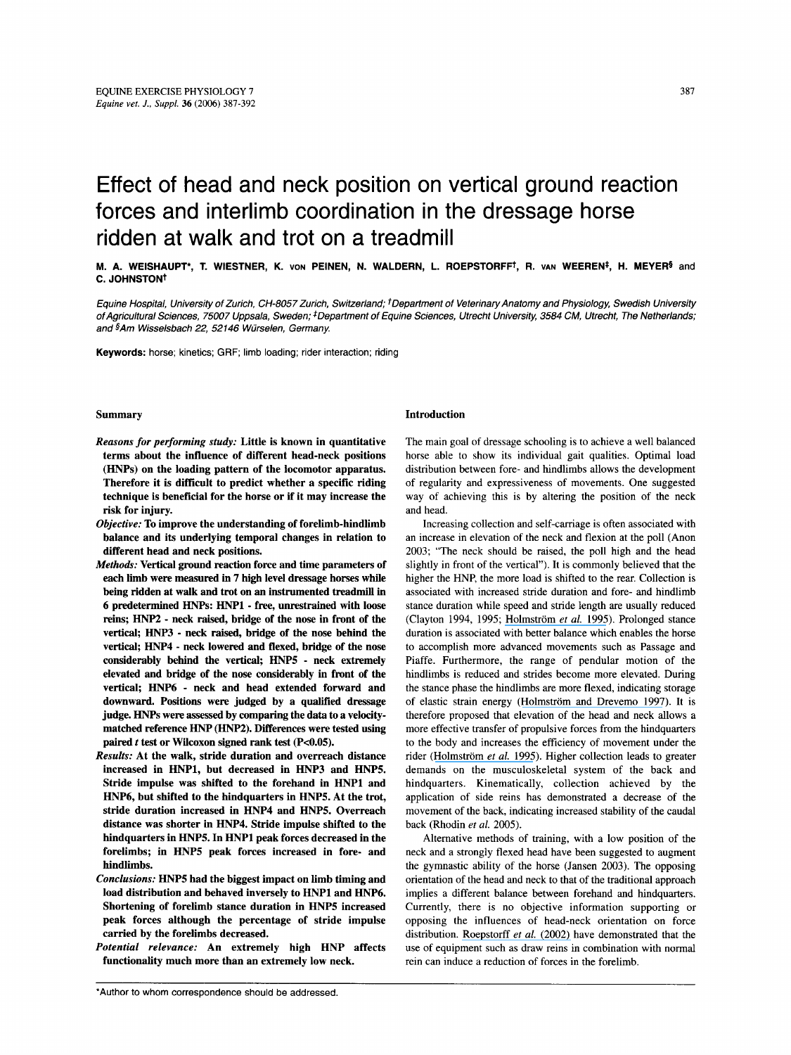## Effect of head and neck position on vertical ground reaction forces and interlimb coordination in the dressage horse ridden at walk and trot on a treadmill

**M. A. WEISHAUPT\*, T. WIESTNER, K. VON PEINEN, N. WALDERN, L. ROEPSTORFFt, R. VAN WEERENS, H. MEYERS** and **c. JOHNSTON<sup>†</sup>** 

*Equine Hospital, University of Zurich, CH-8057 Zurich, Switzerland; tDeparfment of Veterinary Anatomy and Physiology, Swedish University of Agricultural Sciences, 75007 Uppsala, Sweden; <sup>‡</sup>Department of Equine Sciences, Utrecht University, 3584 CM, Utrecht, The Netherlands; and §Am Wisselsbach 22, 52146 Wurselen, Germany.* 

**Keywords:** horse; kinetics; GRF; limb loading; rider interaction; riding

#### Summary

- *Reasons for performing study:* Little is known in quantitative terms about the influence of different head-neck positions (HNPs) on the loading pattern of the locomotor apparatus. Therefore it is difficult to predict whether a specific riding technique is beneficial for the horse or if it may increase the risk for injury.
- *Objective:* To improve the understanding of forelimb-hindlimb balance and its underlying temporal changes in relation to different head and neck positions.
- *Methods:* Vertical ground reaction force and time parameters of each limb were measured in **7** high level dressage horses while being ridden at walk and trot on an instrumented treadmill in 6 predetermined HNPs: HNPl - free, unrestrained with loose reins; *HNP2* - neck raised, bridge of the nose in front of the vertical; HNP3 - neck raised, bridge of the nose behind the vertical; HNP4 - neck lowered and flexed, bridge of the nose considerably behind the vertical; HNPS - neck extremely elevated and bridge of the nose considerably in front of the vertical; HNP6 - neck and head extended forward and downward. Positions were judged by a qualified dressage judge. *HNPs* were assessed by comparing the data to a velocitymatched reference HNP **(HNP2).** Differences were tested using paired  $t$  test or Wilcoxon signed rank test (P<0.05).
- *Results:* At the walk, stride duration and overreach distance increased in HNP1, but decreased in HNP3 and HNPS. Stride impulse was shifted to the forehand in HNPl and HNP6, but shifted to the hindquarters in HNPS. At the trot, stride duration increased in HNP4 and HNPS. Overreach distance was shorter in HNP4. Stride impulse shifted to the hindquarters in HNPS. In HNPl peak forces decreased in the forelimbs; in HNPS peak forces increased in fore- and hindlimbs.
- *Conclusions:* HNPS had the biggest impact on limb timing and load distribution and behaved inversely to HNPl and HNP6. Shortening of forelimb stance duration in HNPS increased peak forces although the percentage of stride impulse carried by the forelimbs decreased.
- *Potential relevance:* An extremely high HNP affects functionality much more than an extremely low neck.

#### Introduction

The main goal of dressage schooling is to achieve a well balanced horse able to show its individual gait qualities. Optimal load distribution between fore- and hindlimbs allows the development of regularity and expressiveness of movements. One suggested way of achieving this is by altering the position of the neck and head.

Increasing collection and self-carriage is often associated with an increase in elevation of the neck and flexion at the poll (Anon 2003; "The neck should be raised, the poll high and the head slightly in front of the vertical"). It is commonly believed that the higher the HNP, the more load is shifted to the rear. Collection is associated with increased stride duration and fore- and hindlimb stance duration while speed and stride length are usually reduced (Clayton 1994, 1995; Holmström et al. 1995). Prolonged stance duration is associated with better balance which enables the horse to accomplish more advanced movements such as Passage and Piaffe. Furthermore, the range of pendular motion of the hindlimbs is reduced and strides become more elevated. During the stance phase the hindlimbs are more flexed, indicating storage of elastic strain energy (Holmström and Drevemo 1997). It is therefore proposed that elevation of the head and neck allows a more effective transfer of propulsive forces from the hindquarters to the body and increases the efficiency of movement under the rider (Holmström et al. 1995). Higher collection leads to greater demands on the musculoskeletal system of the back and hindquarters. Kinematically, collection achieved by the application of side reins has demonstrated a decrease of the movement of the back, indicating increased stability of the caudal back (Rhodin *et al. 2005).* 

Alternative methods of training, with a low position of the neck and a strongly flexed head have been suggested to augment the gymnastic ability of the horse (Jansen *2003).* The opposing orientation of the head and neck to that of the traditional approach implies a different balance between forehand and hindquarters. Currently, there is no objective information supporting or opposing the influences of head-neck orientation on force distribution. [Roepstorff](https://www.researchgate.net/publication/8661610_Influence_of_draw_reins_on_ground_reaction_forces_at_the_trot?el=1_x_8&enrichId=rgreq-a7a9734b273f111a5c914df3e36c7e97-XXX&enrichSource=Y292ZXJQYWdlOzUxMzg0MDg0O0FTOjI4OTgwODg3MTExNjgwMEAxNDQ2MTA3MjI3MTM5) *et al.* (2002) have demonstrated that the use of equipment such as draw reins in combination with normal rein can induce a reduction of forces in the forelimb.

<sup>&#</sup>x27;Author to whom correspondence should be addressed.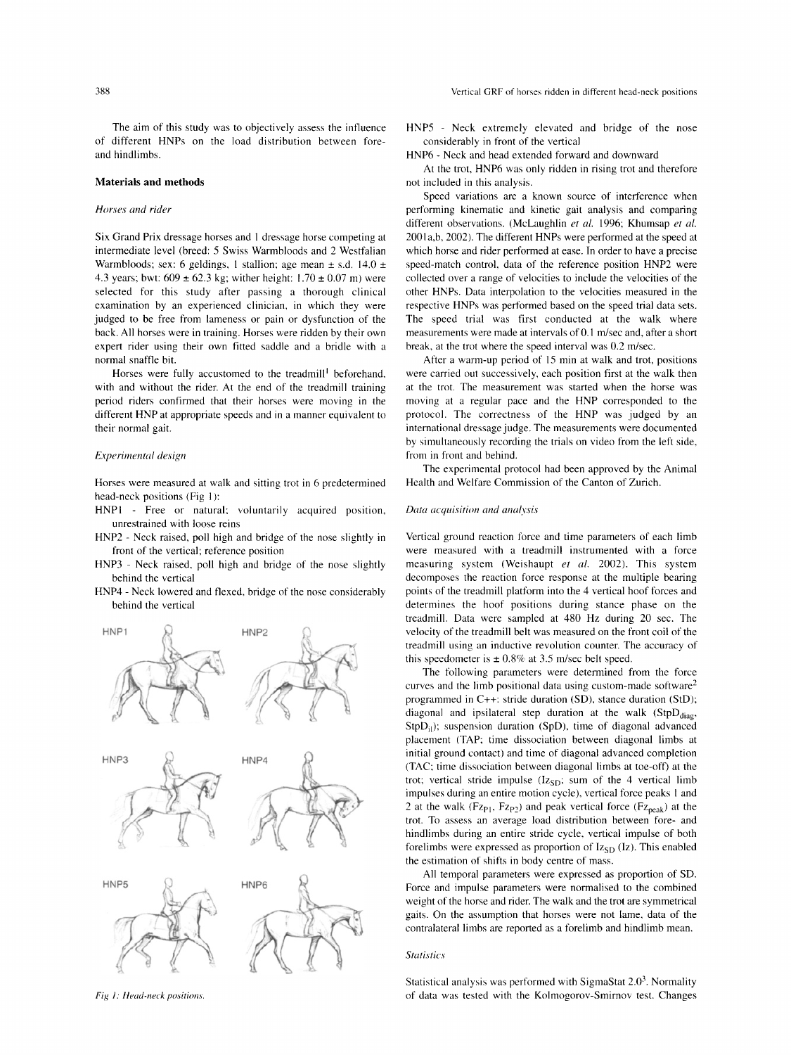The aim of this study was to objectively assess the influence of different HNPs on the load distribution between foreand hindlimbs.

#### **Materials and methods**

#### *Horses arid rider*

Six Grand Prix dressage horses and 1 dressage horse competing at intermediate level (breed: *5* Swiss Warmbloods and 2 Westfalian Warmbloods; sex: 6 geldings, 1 stallion; age mean  $\pm$  s.d. 14.0  $\pm$ 4.3 years; bwt:  $609 \pm 62.3$  kg; wither height:  $1.70 \pm 0.07$  m) were selected for this study after passing a thorough clinical examination by an experienced clinician, in which they were judged to be free from lameness or pain or dysfunction of the back. All horses were in training. Horses were ridden by their own expert rider using their own fitted saddle and a bridle with a normal snaffle bit.

Horses were fully accustomed to the treadmill' beforehand. with and without the rider. At the end of the treadmill training period riders confirmed that their horses were moving in the different HNP at appropriate speeds and in a manner equivalent to their normal gait.

#### *Experirwntd design*

Horses were measured at walk and sitting trot in 6 predetermined head-neck positions (Fig **1):** 

- HNPl Free or natural; voluntarily acquired position, unrestrained with loose reins
- HNP2 Neck raised, poll high and bridge of the nose slightly in front of the vertical; reference position
- HNP3 Neck raised, poll high and bridge of the nose slightly behind the vertical
- HNP4 Neck lowered and flexed, bridge of the nose considerably behind the vertical



HNPS - Neck extremely elevated and bridge of the nose considerably in front of the vertical

HNP6 - Neck and head extended forward and downward

At the trot, HNP6 was only ridden in rising trot and therefore not included in this analysis.

Speed variations are a known source of interference when performing kinematic and kinetic gait analysis and comparing different observations. (McLaughlin et al. 1996; Khumsap et al. 2001 a,b, 2002). The different HNPs were performed at the speed at which horse and rider performed at ease. In order to have a precise speed-match control, data of the reference position HNP2 were collected over a range of velocities to include the velocities of the other HNPs. Data interpolation to the velocities measured in the respective HNPs was performed based on the speed trial data sets. The speed trial was first conducted at the walk where measurements were made at intervals of 0.1 m/sec and, after a short break, at the trot where the speed interval was  $0.2$  m/sec.

After a warm-up period of 15 min at walk and trot, positions were carried out successively, each position first at the walk then at the trot. The measurement was started when the horse was moving at a regular pace and the HNP corresponded to the protocol. The correctness of the HNP was judged by an international dressage judge. The measurements were documented by simultaneously recording the trials on video from the left side, from in front and behind.

The experimental protocol had been approved by the Animal Health and Welfare Commission of the Canton of Zurich.

#### *Duta acyui.sition and analysis*

Vertical ground reaction force and time parameters of each limb were measured with a treadmill instrumented with a force measuring system (Weishaupt *et ul.* 2002). This system decomposes the reaction force response at the multiple bearing points of the treadmill platform into the 4 vertical hoof forces and determines the hoof positions during stance phase on the treadmill. Data were sampled at 480 Hz during 20 sec. The velocity of the treadmill belt was measured on the front coil of the treadmill using an inductive revolution counter. The accuracy of this speedometer is  $\pm 0.8\%$  at 3.5 m/sec belt speed.

The following parameters were determined from the force curves and the limb positional data using custom-made software2 programmed in C++: stride duration (SD), stance duration (StD); diagonal and ipsilateral step duration at the walk  $(StpD<sub>diag</sub>,$  $StpD_{i,j}$ ; suspension duration (SpD), time of diagonal advanced placement (TAP; time dissociation between diagonal limbs at initial ground contact) and time of diagonal advanced completion (TAC: time dissociation between diagonal limbs at toe-off) at the trot; vertical stride impulse  $(Iz<sub>SD</sub>)$ ; sum of the 4 vertical limb impulses during an entire motion cycle), vertical force peaks I and 2 at the walk ( $Fz_{p1}$ ,  $Fz_{p2}$ ) and peak vertical force ( $Fz_{peak}$ ) at the trot. To assess an average load distribution between fore- and hindlimbs during an entire stride cycle, vertical impulse of both forelimbs were expressed as proportion of  $Iz_{SD}$  (Iz). This enabled the estimation of shifts in body centre of mass.

All temporal parameters were expressed as proportion of SD. Force and impulse parameters were normalised to the combined weight of the horse and rider. The walk and the trot are symmetrical gaits. On the assumption that horses were not lame, data of the contralateral limbs are reported as a forelimb and hindlimb mean.

#### *Statistics*

Statistical analysis was performed with SigmaStat  $2.0<sup>3</sup>$ . Normality *Fig 1: Head-neck positions. of data was tested with the Kolmogorov-Smirnov test. Changes*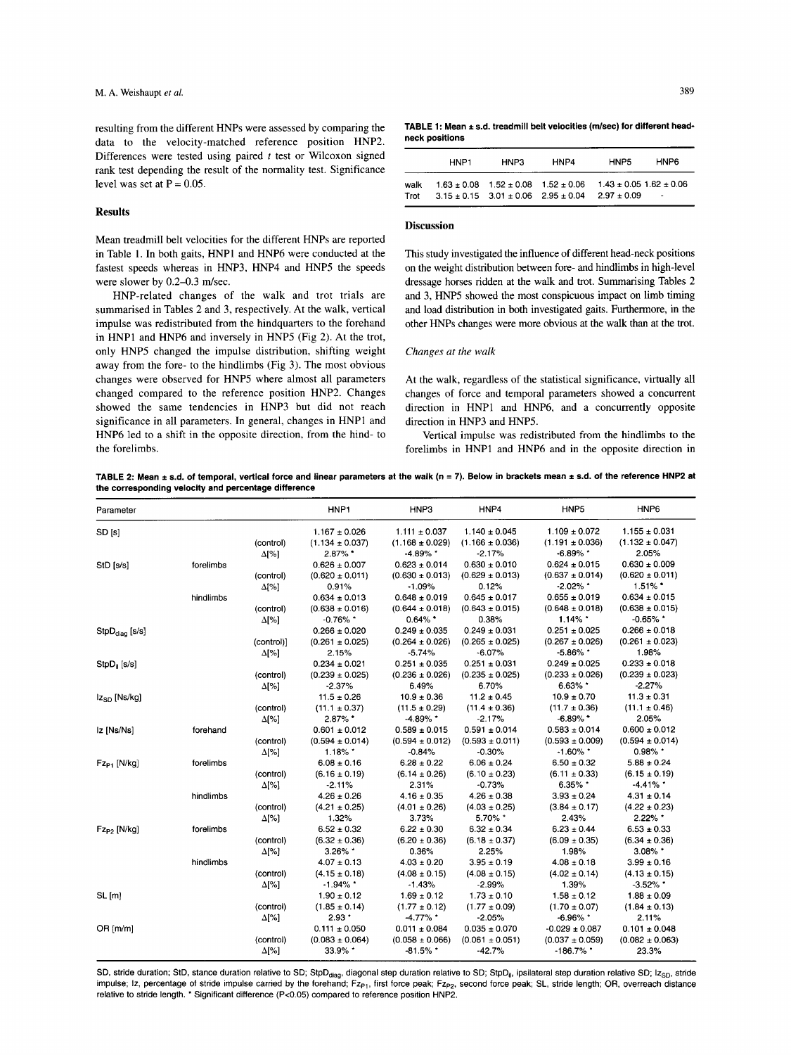resulting from the different HNPs were assessed by comparing the data to the velocity-matched reference position HNP2. Differences were tested using paired *t* test or Wilcoxon signed rank test depending the result of the normality test. Significance level was set at  $P = 0.05$ .

#### **Results**

Mean treadmill belt velocities for the different HNPs are reported in Table 1. In both gaits, HNPl and HNP6 were conducted at the fastest speeds whereas in HNP3, HNP4 and HNPS the speeds were slower by  $0.2-0.3$  m/sec.

HNP-related changes of the walk and trot trials are summarised in Tables 2 and 3, respectively. At the walk, vertical impulse was redistributed from the hindquarters to the forehand in HNPl and HNP6 and inversely in HNPS (Fig 2). At the trot, only HNPS changed the impulse distribution, shifting weight away from the fore- to the hindlimbs (Fig 3). The most obvious changes were observed for HNPS where almost all parameters changed compared to the reference position HNP2. Changes showed the same tendencies in HNP3 but did not reach significance in all parameters. In general, changes in HNPl and HNP6 led to a shift in the opposite direction, from the hind- to the forelimbs.

TABLE 1: Mean ± s.d. treadmill belt velocities (m/sec) for different head**neck positions** 

|              | HNP1 | HNP3                                            | HNP4                                                                            | HNP5          | HNP6   |
|--------------|------|-------------------------------------------------|---------------------------------------------------------------------------------|---------------|--------|
| walk<br>Trot |      | $3.15 \pm 0.15$ $3.01 \pm 0.06$ $2.95 \pm 0.04$ | $1.63 \pm 0.08$ $1.52 \pm 0.08$ $1.52 \pm 0.06$ $1.43 \pm 0.05$ $1.62 \pm 0.06$ | $2.97 + 0.09$ | $\sim$ |

#### **Discussion**

This study investigated the influence of different head-neck positions on the weight distribution between fore- and hindlimbs in high-level dressage horses ridden at the walk and trot. Summarising Tables *2*  and 3, HNPS showed the most conspicuous impact on limb timing and load distribution in both investigated gaits. Furthermore, in the other HNPs changes were more obvious at the walk than at the trot.

#### *Changes at the walk*

At the walk, regardless of the statistical significance, virtually all changes of force and temporal parameters showed a concurrent direction in HNPl and HNP6, and a concurrently opposite direction in HNP3 and HNPS.

Vertical impulse was redistributed from the hindlimbs to the forelimbs in HNPl and HNP6 and in the opposite direction in

TABLE 2: Mean  $\pm$  s.d. of temporal, vertical force and linear parameters at the walk (n = 7). Below in brackets mean  $\pm$  s.d. of the reference HNP2 at **the corresponding velocity and percentage difference** 

| Parameter                  |           |              | HNP1                | HNP3                | HNP4                | HNP5                | HNP <sub>6</sub>    |
|----------------------------|-----------|--------------|---------------------|---------------------|---------------------|---------------------|---------------------|
| SD [s]                     |           |              | $1.167 \pm 0.026$   | $1.111 \pm 0.037$   | $1.140 \pm 0.045$   | $1.109 \pm 0.072$   | $1.155 \pm 0.031$   |
|                            |           | (control)    | $(1.134 \pm 0.037)$ | $(1.168 \pm 0.029)$ | $(1.166 \pm 0.036)$ | $(1.191 \pm 0.036)$ | $(1.132 \pm 0.047)$ |
|                            |           | $\Delta$ [%] | $2.87\%$            | -4.89% *            | $-2.17%$            | $-6.89\%$ *         | 2.05%               |
| StD [s/s]                  | forelimbs |              | $0.626 \pm 0.007$   | $0.623 \pm 0.014$   | $0.630 \pm 0.010$   | $0.624 \pm 0.015$   | $0.630 \pm 0.009$   |
|                            |           | (control)    | $(0.620 \pm 0.011)$ | $(0.630 \pm 0.013)$ | $(0.629 \pm 0.013)$ | $(0.637 \pm 0.014)$ | $(0.620 \pm 0.011)$ |
|                            |           | $\Delta$ [%] | 0.91%               | $-1.09%$            | 0.12%               | $-2.02\%$ *         | $1.51\%$ *          |
|                            | hindlimbs |              | $0.634 \pm 0.013$   | $0.648 \pm 0.019$   | $0.645 \pm 0.017$   | $0.655 \pm 0.019$   | $0.634 \pm 0.015$   |
|                            |           | (control)    | $(0.638 \pm 0.016)$ | $(0.644 \pm 0.018)$ | $(0.643 \pm 0.015)$ | $(0.648 \pm 0.018)$ | $(0.638 \pm 0.015)$ |
|                            |           | $\Delta$ [%] | $-0.76\%$ *         | $0.64\%$ .          | 0.38%               | $1.14\%$ *          | $-0.65\%$ *         |
| StpD <sub>diag</sub> [s/s] |           |              | $0.266 \pm 0.020$   | $0.249 \pm 0.035$   | $0.249 \pm 0.031$   | $0.251 \pm 0.025$   | $0.266 \pm 0.018$   |
|                            |           | (control)]   | $(0.261 \pm 0.025)$ | $(0.264 \pm 0.026)$ | $(0.265 \pm 0.025)$ | $(0.267 \pm 0.026)$ | $(0.261 \pm 0.023)$ |
|                            |           | $\Delta$ [%] | 2.15%               | $-5.74%$            | $-6.07%$            | $-5.86\%$ *         | 1.98%               |
| $StpD_{ii}$ [s/s]          |           |              | $0.234 \pm 0.021$   | $0.251 \pm 0.035$   | $0.251 \pm 0.031$   | $0.249 \pm 0.025$   | $0.233 \pm 0.018$   |
|                            |           | (control)    | $(0.239 \pm 0.025)$ | $(0.236 \pm 0.026)$ | $(0.235 \pm 0.025)$ | $(0.233 \pm 0.026)$ | $(0.239 \pm 0.023)$ |
|                            |           | $\Delta$ [%] | $-2.37%$            | 6.49%               | 6.70%               | 6.63% *             | $-2.27%$            |
| $Iz_{SD}$ [Ns/kg]          |           |              | $11.5 \pm 0.26$     | $10.9 \pm 0.36$     | $11.2 \pm 0.45$     | $10.9 \pm 0.70$     | $11.3 \pm 0.31$     |
|                            |           | (control)    | $(11.1 \pm 0.37)$   | $(11.5 \pm 0.29)$   | $(11.4 \pm 0.36)$   | $(11.7 \pm 0.36)$   | $(11.1 \pm 0.46)$   |
|                            |           | $\Delta$ [%] | 2.87%               | $-4.89\%$ *         | $-2.17%$            | $-6.89\%$ .         | 2.05%               |
| Iz [Ns/Ns]                 | forehand  |              | $0.601 \pm 0.012$   | $0.589 \pm 0.015$   | $0.591 \pm 0.014$   | $0.583 \pm 0.014$   | $0.600 \pm 0.012$   |
|                            |           | (control)    | $(0.594 \pm 0.014)$ | $(0.594 \pm 0.012)$ | $(0.593 \pm 0.011)$ | $(0.593 \pm 0.009)$ | $(0.594 \pm 0.014)$ |
|                            |           | $\Delta$ [%] | $1.18\%$ *          | $-0.84%$            | $-0.30%$            | $-1.60\%$ *         | $0.98\%$ *          |
| $Fz_{P1}$ [N/kg]           | forelimbs |              | $6.08 \pm 0.16$     | $6.28 \pm 0.22$     | $6.06 \pm 0.24$     | $6.50 \pm 0.32$     | $5.88 + 0.24$       |
|                            |           | (control)    | $(6.16 \pm 0.19)$   | $(6.14 \pm 0.26)$   | $(6.10 \pm 0.23)$   | $(6.11 \pm 0.33)$   | $(6.15 \pm 0.19)$   |
|                            |           | $\Delta$ [%] | $-2.11%$            | 2.31%               | $-0.73%$            | 6.35% *             | $-4.41\%$ *         |
|                            | hindlimbs |              | $4.26 \pm 0.26$     | $4.16 \pm 0.35$     | $4.26 \pm 0.38$     | $3.93 \pm 0.24$     | $4.31 \pm 0.14$     |
|                            |           | (control)    | $(4.21 \pm 0.25)$   | $(4.01 \pm 0.26)$   | $(4.03 \pm 0.25)$   | $(3.84 \pm 0.17)$   | $(4.22 \pm 0.23)$   |
|                            |           | $\Delta$ [%] | 1.32%               | 3.73%               | 5.70% *             | 2.43%               | 2.22% *             |
| $Fz_{P2}$ [N/kg]           | forelimbs |              | $6.52 \pm 0.32$     | $6.22 \pm 0.30$     | $6.32 \pm 0.34$     | $6.23 \pm 0.44$     | $6.53 \pm 0.33$     |
|                            |           | (control)    | $(6.32 \pm 0.36)$   | $(6.20 \pm 0.36)$   | $(6.18 \pm 0.37)$   | $(6.09 \pm 0.35)$   | $(6.34 \pm 0.36)$   |
|                            |           | $\Delta$ [%] | 3.26% *             | 0.36%               | 2.25%               | 1.98%               | $3.08\%$ *          |
|                            | hindlimbs |              | $4.07 \pm 0.13$     | $4.03 \pm 0.20$     | $3.95 \pm 0.19$     | $4.08 \pm 0.18$     | $3.99 \pm 0.16$     |
|                            |           | (control)    | $(4.15 \pm 0.18)$   | $(4.08 \pm 0.15)$   | $(4.08 \pm 0.15)$   | $(4.02 \pm 0.14)$   | $(4.13 \pm 0.15)$   |
|                            |           | $\Delta$ [%] | $-1.94\%$ *         | $-1.43%$            | $-2.99%$            | 1.39%               | $-3.52\%$ *         |
| SL[m]                      |           |              | $1.90 \pm 0.12$     | $1.69 \pm 0.12$     | $1.73 \pm 0.10$     | $1.58 \pm 0.12$     | $1.88 \pm 0.09$     |
|                            |           | (control)    | $(1.85 \pm 0.14)$   | $(1.77 \pm 0.12)$   | $(1.77 \pm 0.09)$   | $(1.70 \pm 0.07)$   | $(1.84 \pm 0.13)$   |
|                            |           | $\Delta$ [%] | $2.93*$             | $-4.77\%$ *         | $-2.05%$            | $-6.96\%$ *         | 2.11%               |
| $OR$ [m/m]                 |           |              | $0.111 \pm 0.050$   | $0.011 \pm 0.084$   | $0.035 \pm 0.070$   | $-0.029 \pm 0.087$  | $0.101 \pm 0.048$   |
|                            |           | (control)    | $(0.083 \pm 0.064)$ | $(0.058 \pm 0.066)$ | $(0.061 \pm 0.051)$ | $(0.037 \pm 0.059)$ | $(0.082 \pm 0.063)$ |
|                            |           | $\Delta$ [%] | 33.9% *             | $-81.5\%$ *         | $-42.7%$            | $-186.7\%$ *        | 23.3%               |

SD, stride duration; StD, stance duration relative to SD; StpD<sub>diag</sub>, diagonal step duration relative to SD; StpD<sub>il</sub>, ipsilateral step duration relative SD; Iz<sub>SD</sub>, stride impulse; Iz, percentage of stride impulse carried by the forehand; Fz<sub>P1</sub>, first force peak; Fz<sub>P2</sub>, second force peak; SL, stride length; OR, overreach distance relative to stride length. \* Significant difference (Pc0.05) compared to reference position HNP2.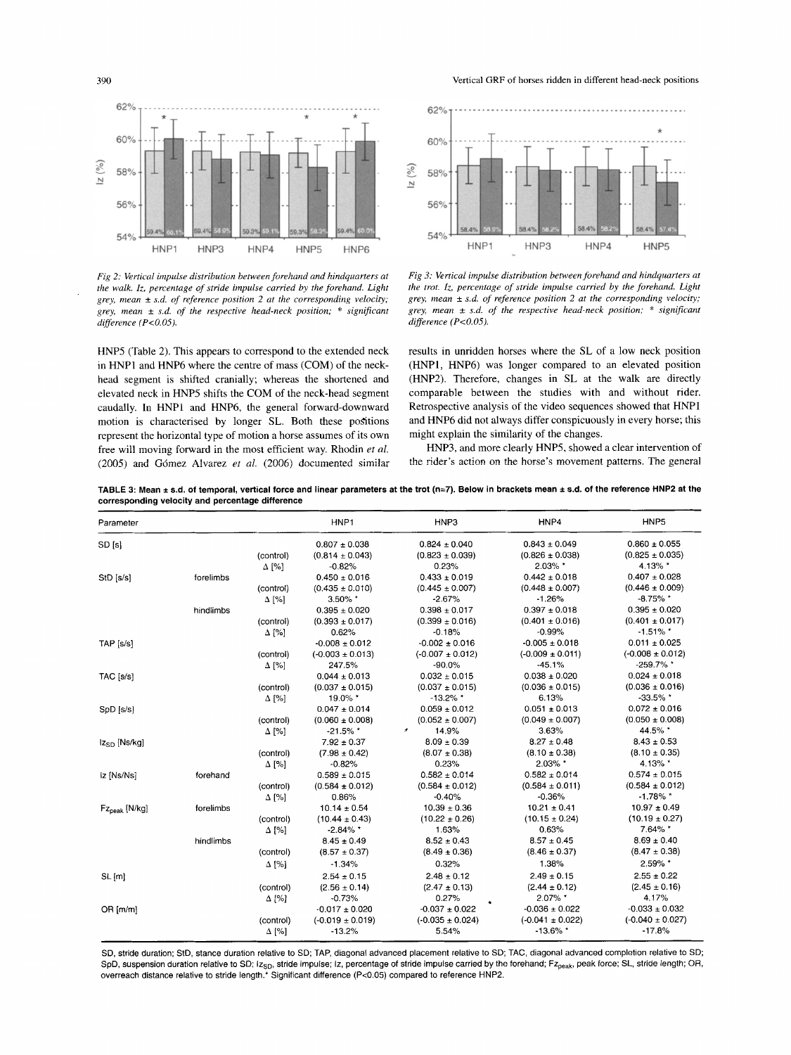390 Vertical GRF of horses ridden in different head-neck positions



*Fig* 2: *Vertical impulse distribution between forehand and hindquarters at the walk. Iz, percentage ofstride impulse carried by the forehand. Light grey, mean* ± *s.d. of reference position* 2 *at the corresponding velocity; grey, mean* ± *s.d. of the respective head-neck position;* \* *significant difference (P<O.05).*

HNP5 (Table 2). This appears to correspond to the extended neck in HNPI and HNP6 where the centre of mass (COM) of the neckhead segment is shifted cranially; whereas the shortened and elevated neck in HNP5 shifts the COM of the neck-head segment caudally. In HNPI and HNP6, the general forward-downward motion is characterised by longer SL. Both these positions represent the horizontal type of motion a horse assumes of its own free will moving forward in the most efficient way. Rhodin *et al.* (2005) and Gomez Alvarez *et al.* (2006) documented similar



*Fig* 3: *Vertical impulse distribution between forehand and hindquarters at the trot. lz: percentage of stride impulse carried by the forehand. Light grey, mean* ± *s.d. of reference position* 2 *at the corresponding velocity; grey, mean* ± *s.d. of the respective head-neck position;* \* *significant difference (P<O.05).*

results in unridden horses where the SL of a low neck position (HNPI, HNP6) was longer compared to an elevated position (HNP2). Therefore, changes in SL at the walk are directly comparable between the studies with and without rider. Retrospective analysis of the video sequences showed that HNPI and HNP6 did not always differ conspicuously in every horse; this might explain the similarity of the changes.

HNP3, and more clearly HNP5, showed a clear intervention of the rider's action on the horse's movement patterns. The general

TABLE 3: Mean ± s.d. of temporal, vertical force and linear parameters at the trot (n=7). Below in brackets mean ± s.d. of the reference HNP2 at the corresponding velocity and percentage difference

| Parameter              |           |              | HNP1                 | HNP3                              | HNP4                 | HNP <sub>5</sub>     |
|------------------------|-----------|--------------|----------------------|-----------------------------------|----------------------|----------------------|
| SD [s]                 |           |              | $0.807 \pm 0.038$    | $0.824 \pm 0.040$                 | $0.843 \pm 0.049$    | $0.860 \pm 0.055$    |
|                        |           | (control)    | $(0.814 \pm 0.043)$  | $(0.823 \pm 0.039)$               | $(0.826 \pm 0.038)$  | $(0.825 \pm 0.035)$  |
|                        |           | $\Delta$ [%] | $-0.82%$             | 0.23%                             | 2.03% *              | 4.13% *              |
| StD [s/s]              | forelimbs |              | $0.450 \pm 0.016$    | $0.433 \pm 0.019$                 | $0.442 \pm 0.018$    | $0.407 \pm 0.028$    |
|                        |           | (control)    | $(0.435 \pm 0.010)$  | $(0.445 \pm 0.007)$               | $(0.448 \pm 0.007)$  | $(0.446 \pm 0.009)$  |
|                        |           | $\Delta$ [%] | 3.50% *              | $-2.67%$                          | $-1.26%$             | $-8.75\%$ *          |
|                        | hindlimbs |              | $0.395 \pm 0.020$    | $0.398 \pm 0.017$                 | $0.397 \pm 0.018$    | $0.395 \pm 0.020$    |
|                        |           | (control)    | $(0.393 \pm 0.017)$  | $(0.399 \pm 0.016)$               | $(0.401 \pm 0.016)$  | $(0.401 \pm 0.017)$  |
|                        |           | $\Delta$ [%] | 0.62%                | $-0.18%$                          | $-0.99%$             | $-1.51\%$ *          |
| TAP [s/s]              |           |              | $-0.008 \pm 0.012$   | $-0.002 \pm 0.016$                | $-0.005 \pm 0.018$   | $0.011 \pm 0.025$    |
|                        |           | (control)    | $(-0.003 \pm 0.013)$ | $(-0.007 + 0.012)$                | $(-0.009 \pm 0.011)$ | $(-0.008 \pm 0.012)$ |
|                        |           | $\Delta$ [%] | 247.5%               | $-90.0%$                          | $-45.1%$             | $-259.7\%$ *         |
| TAC [s/s]              |           |              | $0.044 \pm 0.013$    | $0.032 \pm 0.015$                 | $0.038 \pm 0.020$    | $0.024 \pm 0.018$    |
|                        |           | (control)    | $(0.037 \pm 0.015)$  | $(0.037 \pm 0.015)$               | $(0.036 \pm 0.015)$  | $(0.036 \pm 0.016)$  |
|                        |           | $\Delta$ [%] | 19.0% *              | $-13.2\%$ *                       | 6.13%                | $-33.5\%$ *          |
| SpD [s/s]              |           |              | $0.047 \pm 0.014$    | $0.059 \pm 0.012$                 | $0.051 \pm 0.013$    | $0.072 \pm 0.016$    |
|                        |           | (control)    | $(0.060 \pm 0.008)$  | $(0.052 \pm 0.007)$               | $(0.049 \pm 0.007)$  | $(0.050 \pm 0.008)$  |
|                        |           | $\Delta$ [%] | $-21.5\%$ *          | 14.9%<br>$\overline{\phantom{a}}$ | 3.63%                | 44.5% *              |
| $Iz_{SD}$ [Ns/kg]      |           |              | $7.92 \pm 0.37$      | $8.09 \pm 0.39$                   | $8.27 \pm 0.48$      | $8.43 \pm 0.53$      |
|                        |           | (control)    | $(7.98 \pm 0.42)$    | $(8.07 \pm 0.38)$                 | $(8.10 \pm 0.38)$    | $(8.10 \pm 0.35)$    |
|                        |           | $\Delta$ [%] | $-0.82%$             | 0.23%                             | 2.03% *              | 4.13% *              |
| iz [Ns/Ns]             | forehand  |              | $0.589 \pm 0.015$    | $0.582 \pm 0.014$                 | $0.582 \pm 0.014$    | $0.574 \pm 0.015$    |
|                        |           | (control)    | $(0.584 \pm 0.012)$  | $(0.584 \pm 0.012)$               | $(0.584 \pm 0.011)$  | $(0.584 \pm 0.012)$  |
|                        |           | $\Delta$ [%] | 0.86%                | $-0.40%$                          | $-0.36%$             | $-1.78\%$ *          |
| $Fz_{\rm peak}$ [N/kg] | forelimbs |              | $10.14 \pm 0.54$     | $10.39 \pm 0.36$                  | $10.21 \pm 0.41$     | $10.97 \pm 0.49$     |
|                        |           | (control)    | $(10.44 \pm 0.43)$   | $(10.22 \pm 0.26)$                | $(10.15 \pm 0.24)$   | $(10.19 \pm 0.27)$   |
|                        |           | $\Delta$ [%] | $-2.84\%$ *          | 1.63%                             | 0.63%                | 7.64% *              |
|                        | hindlimbs |              | $8.45 \pm 0.49$      | $8.52 \pm 0.43$                   | $8.57 \pm 0.45$      | $8.69 \pm 0.40$      |
|                        |           | (control)    | $(8.57 \pm 0.37)$    | $(8.49 \pm 0.36)$                 | $(8.46 \pm 0.37)$    | $(8.47 \pm 0.38)$    |
|                        |           | $\Delta$ [%] | $-1.34%$             | 0.32%                             | 1.38%                | 2.59% *              |
| SL[m]                  |           |              | $2.54 \pm 0.15$      | $2.48 \pm 0.12$                   | $2.49 \pm 0.15$      | $2.55 \pm 0.22$      |
|                        |           | (control)    | $(2.56 \pm 0.14)$    | $(2.47 \pm 0.13)$                 | $(2.44 \pm 0.12)$    | $(2.45 \pm 0.16)$    |
|                        |           | $\Delta$ [%] | $-0.73%$             | 0.27%                             | 2.07% *              | 4.17%                |
| OR[m/m]                |           |              | $-0.017 \pm 0.020$   | $-0.037 \pm 0.022$                | $-0.036 \pm 0.022$   | $-0.033 \pm 0.032$   |
|                        |           | (control)    | $(-0.019 \pm 0.019)$ | $(-0.035 \pm 0.024)$              | $(-0.041 \pm 0.022)$ | $(-0.040 \pm 0.027)$ |
|                        |           | $\Delta$ [%] | $-13.2%$             | 5.54%                             | $-13.6\%$ *          | $-17.8%$             |

SO, stride duration; StD, stance duration relative to SO; TAP, diagonal advanced placement relative to SO; TAC, diagonal advanced completion relative to SO; SpD, suspension duration relative to SD; Iz<sub>SD</sub>, stride impulse; Iz, percentage of stride impulse carried by the forehand; Fz<sub>peak</sub>, peak force; SL, stride length; OR, overreach distance relative to stride length.<sup>\*</sup> Significant difference (P<0.05) compared to reference HNP2.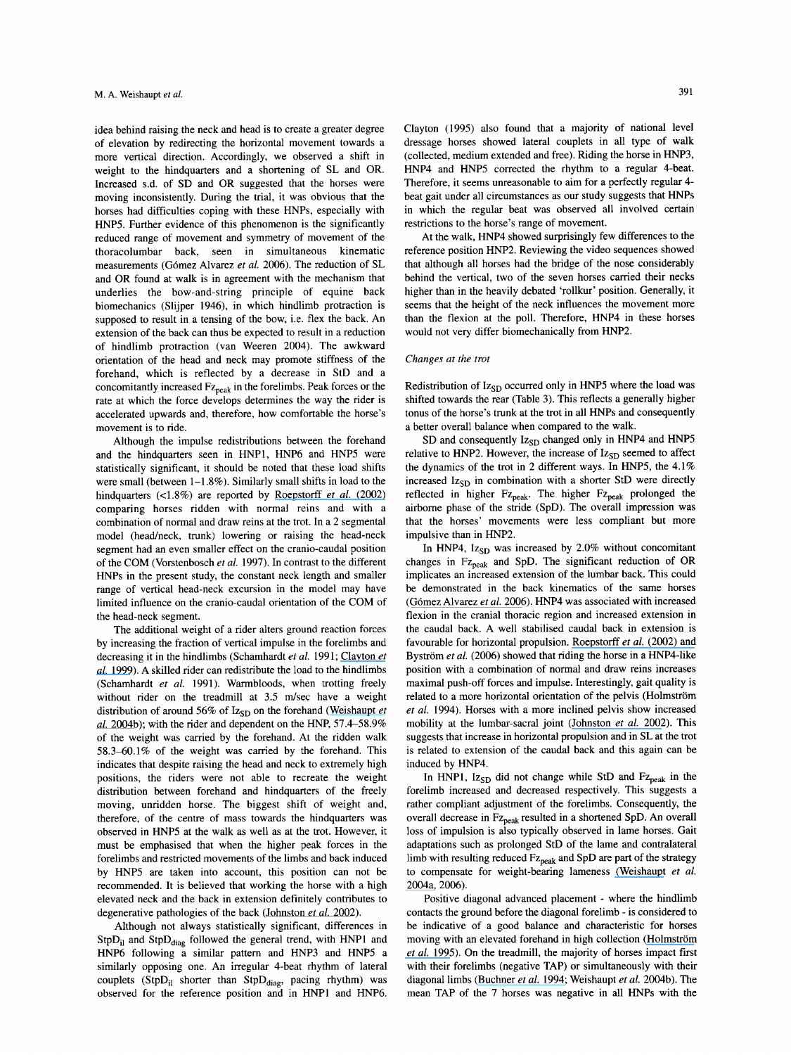idea behind raising the neck and head is to create a greater degree of elevation by redirecting the horizontal movement towards a more vertical direction. Accordingly, we observed a shift in weight to the hindquarters and a shortening of SL and OR. Increased s.d. of SD and OR suggested that the horses were moving inconsistently. During the trial, it was obvious that the horses had difficulties coping with these HNPs, especially with HNP5. Further evidence of this phenomenon is the significantly reduced range of movement and symmetry of movement of the thoracolumbar back, seen in simultaneous kinematic measurements (Gomez Alvarez *et ai.* 2006). The reduction of SL and OR found at walk is in agreement with the mechanism that underlies the bow-and-string principle of equine back biomechanics (Slijper 1946), in which hindlimb protraction is supposed to result in a tensing of the bow, i.e. flex the back. An extension of the back can thus be expected to result in a reduction of hindlimb protraction (van Weeren 2004). The awkward orientation of the head and neck may promote stiffness of the forehand, which is reflected by a decrease in StD and a concomitantly increased Fz<sub>peak</sub> in the forelimbs. Peak forces or the rate at which the force develops determines the way the rider is accelerated upwards and, therefore, how comfortable the horse's movement is to ride.

Although the impulse redistributions between the forehand and the hindquarters seen in HNP1, HNP6 and HNP5 were statistically significant, it should be noted that these load shifts were small (between 1–1.8%). Similarly small shifts in load to the hindquarters (<1.8%) are reported by [Roepstorff](https://www.researchgate.net/publication/8661610_Influence_of_draw_reins_on_ground_reaction_forces_at_the_trot?el=1_x_8&enrichId=rgreq-a7a9734b273f111a5c914df3e36c7e97-XXX&enrichSource=Y292ZXJQYWdlOzUxMzg0MDg0O0FTOjI4OTgwODg3MTExNjgwMEAxNDQ2MTA3MjI3MTM5) *et al.* (2002) comparing horses ridden with normal reins and with a combination of normal and draw reins at the trot. In a 2 segmental model (head/neck, trunk) lowering or raising the head-neck segment had an even smaller effect on the cranio-caudal position of the COM (Vorstenbosch *et al.* 1997). In contrast to the different HNPs in the present study, the constant neck length and smaller range of vertical head-neck excursion in the model may have limited influence on the cranio-caudal orientation of the COM of the head-neck segment.

The additional weight of a rider alters ground reaction forces by increasing the fraction of vertical impulse in the forelimbs and decreasing it in the hindlimbs (Schamhardt *et al.* 1991; [Clayton](https://www.researchgate.net/publication/12656123_Rider_effects_on_ground_reaction_forces_and_fetlock_kinematics_at_the_trot?el=1_x_8&enrichId=rgreq-a7a9734b273f111a5c914df3e36c7e97-XXX&enrichSource=Y292ZXJQYWdlOzUxMzg0MDg0O0FTOjI4OTgwODg3MTExNjgwMEAxNDQ2MTA3MjI3MTM5) *et al.* [1999](https://www.researchgate.net/publication/12656123_Rider_effects_on_ground_reaction_forces_and_fetlock_kinematics_at_the_trot?el=1_x_8&enrichId=rgreq-a7a9734b273f111a5c914df3e36c7e97-XXX&enrichSource=Y292ZXJQYWdlOzUxMzg0MDg0O0FTOjI4OTgwODg3MTExNjgwMEAxNDQ2MTA3MjI3MTM5)). A skilled rider can redistribute the load to the hindlimbs (Schamhardt *et al.* 1991). Warmbloods, when trotting freely without rider on the treadmill at 3.5 m/sec have a weight distribution of around 56% of Iz<sub>SD</sub> on the forehand ([Weishaupt](https://www.researchgate.net/publication/8216214_Vertical_ground_reaction_force-time_histories_of_sound_Warmblood_horses_trotting_on_a_treadmill?el=1_x_8&enrichId=rgreq-a7a9734b273f111a5c914df3e36c7e97-XXX&enrichSource=Y292ZXJQYWdlOzUxMzg0MDg0O0FTOjI4OTgwODg3MTExNjgwMEAxNDQ2MTA3MjI3MTM5) *et al.* [2004b](https://www.researchgate.net/publication/8216214_Vertical_ground_reaction_force-time_histories_of_sound_Warmblood_horses_trotting_on_a_treadmill?el=1_x_8&enrichId=rgreq-a7a9734b273f111a5c914df3e36c7e97-XXX&enrichSource=Y292ZXJQYWdlOzUxMzg0MDg0O0FTOjI4OTgwODg3MTExNjgwMEAxNDQ2MTA3MjI3MTM5)); with the rider and dependent on the HNP, 57.4-58.9% of the weight was carried by the forehand. At the ridden walk  $58.3-60.1\%$  of the weight was carried by the forehand. This indicates that despite raising the head and neck to extremely high positions, the riders were not able to recreate the weight distribution between forehand and hindquarters of the freely moving, unridden horse. The biggest shift of weight and, therefore, of the centre of mass towards the hindquarters was observed in HNP5 at the walk as well as at the trot. However, it must be emphasised that when the higher peak forces in the forelimbs and restricted movements of the limbs and back induced by HNP5 are taken into account, this position can not be recommended. It is believed that working the horse with a high elevated neck and the back in extension definitely contributes to degenerative pathologies of the back ([Johnston](https://www.researchgate.net/publication/8661610_Influence_of_draw_reins_on_ground_reaction_forces_at_the_trot?el=1_x_8&enrichId=rgreq-a7a9734b273f111a5c914df3e36c7e97-XXX&enrichSource=Y292ZXJQYWdlOzUxMzg0MDg0O0FTOjI4OTgwODg3MTExNjgwMEAxNDQ2MTA3MjI3MTM5) *et al.* 2002).

Although not always statistically significant, differences in  $StpD<sub>il</sub>$  and  $StpD<sub>diag</sub>$  followed the general trend, with HNP1 and HNP6 following a similar pattern and HNP3 and HNP5 a similarly opposing one. An irregular 4-beat rhythm of lateral couplets (Stp $D_{il}$  shorter than Stp $D_{diag}$ , pacing rhythm) was observed for the reference position and in HNPI and HNP6.

Clayton (1995) also found that a majority of national level dressage horses showed lateral couplets in all type of walk (collected, medium extended and free). Riding the horse in HNP3, HNP4 and HNP5 corrected the rhythm to a regular 4-beat. Therefore, it seems unreasonable to aim for a perfectly regular 4 beat gait under all circumstances as our study suggests that HNPs in which the regular beat was observed all involved certain restrictions to the horse's range of movement.

At the walk, HNP4 showed surprisingly few differences to the reference position HNP2. Reviewing the video sequences showed that although all horses had the bridge of the nose considerably behind the vertical, two of the seven horses carried their necks higher than in the heavily debated 'rollkur' position. Generally, it seems that the height of the neck influences the movement more than the flexion at the poll. Therefore, HNP4 in these horses would not very differ biomechanically from HNP2.

#### *Changes at the trot*

Redistribution of Iz<sub>SD</sub> occurred only in HNP5 where the load was shifted towards the rear (Table 3). This reflects a generally higher tonus of the horse's trunk at the trot in all HNPs and consequently a better overall balance when compared to the walk.

SD and consequently  $Iz_{SD}$  changed only in HNP4 and HNP5 relative to HNP2. However, the increase of  $Iz<sub>SD</sub>$  seemed to affect the dynamics of the trot in 2 different ways. In HNP5, the 4.1% increased  $Iz_{SD}$  in combination with a shorter StD were directly reflected in higher  $Fz_{peak}$ . The higher  $Fz_{peak}$  prolonged the airborne phase of the stride (SpD). The overall impression was that the horses' movements were less compliant but more impulsive than in HNP2.

In HNP4,  $Iz_{SD}$  was increased by 2.0% without concomitant changes in Fz<sub>peak</sub> and SpD. The significant reduction of OR implicates an increased extension of the lumbar back. This could be demonstrated in the back kinematics of the same horses ([Gomez Alvarez](https://www.researchgate.net/publication/51384095_The_effect_of_head_and_neck_position_on_the_thoracolumbar_kinematics_in_the_unridden_horse?el=1_x_8&enrichId=rgreq-a7a9734b273f111a5c914df3e36c7e97-XXX&enrichSource=Y292ZXJQYWdlOzUxMzg0MDg0O0FTOjI4OTgwODg3MTExNjgwMEAxNDQ2MTA3MjI3MTM5) *et al.* 2006). HNP4 was associated with increased flexion in the cranial thoracic region and increased extension in the caudal back. A well stabilised caudal back in extension is favourable for horizontal propulsion. Roepstorff *et al.* [\(2002\) and](https://www.researchgate.net/publication/8661610_Influence_of_draw_reins_on_ground_reaction_forces_at_the_trot?el=1_x_8&enrichId=rgreq-a7a9734b273f111a5c914df3e36c7e97-XXX&enrichSource=Y292ZXJQYWdlOzUxMzg0MDg0O0FTOjI4OTgwODg3MTExNjgwMEAxNDQ2MTA3MjI3MTM5) Byström *et al.* (2006) showed that riding the horse in a HNP4-like position with a combination of normal and draw reins increases maximal push-off forces and impulse. Interestingly, gait quality is related to a more horizontal orientation of the pelvis (Holmström *et al.* 1994). Horses with a more inclined pelvis show increased mobility at the lumbar-sacral joint ([Johnston](https://www.researchgate.net/publication/8661610_Influence_of_draw_reins_on_ground_reaction_forces_at_the_trot?el=1_x_8&enrichId=rgreq-a7a9734b273f111a5c914df3e36c7e97-XXX&enrichSource=Y292ZXJQYWdlOzUxMzg0MDg0O0FTOjI4OTgwODg3MTExNjgwMEAxNDQ2MTA3MjI3MTM5) *et al.* 2002). This suggests that increase in horizontal propulsion and in SL at the trot is related to extension of the caudal back and this again can be induced by HNP4.

In HNP1,  $Iz_{SD}$  did not change while StD and  $Fz_{peak}$  in the forelimb increased and decreased respectively. This suggests a rather compliant adjustment of the forelimbs. Consequently, the overall decrease in Fz<sub>peak</sub> resulted in a shortened SpD. An overall loss of impulsion is also typically observed in lame horses. Gait adaptations such as prolonged StD of the lame and contralateral limb with resulting reduced  $Fz_{peak}$  and SpD are part of the strategy to compensate for weight-bearing lameness [\(Weishaupt](https://www.researchgate.net/publication/7768277_Compensatory_load_distribution_of_horses_with_induced_weight-bearing_lameness_trotting_on_a_treadmill?el=1_x_8&enrichId=rgreq-a7a9734b273f111a5c914df3e36c7e97-XXX&enrichSource=Y292ZXJQYWdlOzUxMzg0MDg0O0FTOjI4OTgwODg3MTExNjgwMEAxNDQ2MTA3MjI3MTM5) *et al.* [2oo4a,](https://www.researchgate.net/publication/7768277_Compensatory_load_distribution_of_horses_with_induced_weight-bearing_lameness_trotting_on_a_treadmill?el=1_x_8&enrichId=rgreq-a7a9734b273f111a5c914df3e36c7e97-XXX&enrichSource=Y292ZXJQYWdlOzUxMzg0MDg0O0FTOjI4OTgwODg3MTExNjgwMEAxNDQ2MTA3MjI3MTM5) 2006).

Positive diagonal advanced placement - where the hindlimb contacts the ground before the diagonal forelimb - is considered to be indicative of a good balance and characteristic for horses moving with an elevated forehand in high collection (Holmström *[et al.](https://www.researchgate.net/publication/14663164_Biokinematic_effects_of_collection_on_trotting_gaits_in_the_elite_dressage_horse?el=1_x_8&enrichId=rgreq-a7a9734b273f111a5c914df3e36c7e97-XXX&enrichSource=Y292ZXJQYWdlOzUxMzg0MDg0O0FTOjI4OTgwODg3MTExNjgwMEAxNDQ2MTA3MjI3MTM5)* 1995). On the treadmill, the majority of horses impact first with their forelimbs (negative TAP) or simultaneously with their diagonal limbs ([Buchner](https://www.researchgate.net/publication/15396716_Kinematics_of_treadmill_versus_overground_locomotion?el=1_x_8&enrichId=rgreq-a7a9734b273f111a5c914df3e36c7e97-XXX&enrichSource=Y292ZXJQYWdlOzUxMzg0MDg0O0FTOjI4OTgwODg3MTExNjgwMEAxNDQ2MTA3MjI3MTM5) *et al.* 1994; Weishaupt *et al.* 2oo4b). The mean TAP of the 7 horses was negative in all HNPs with the